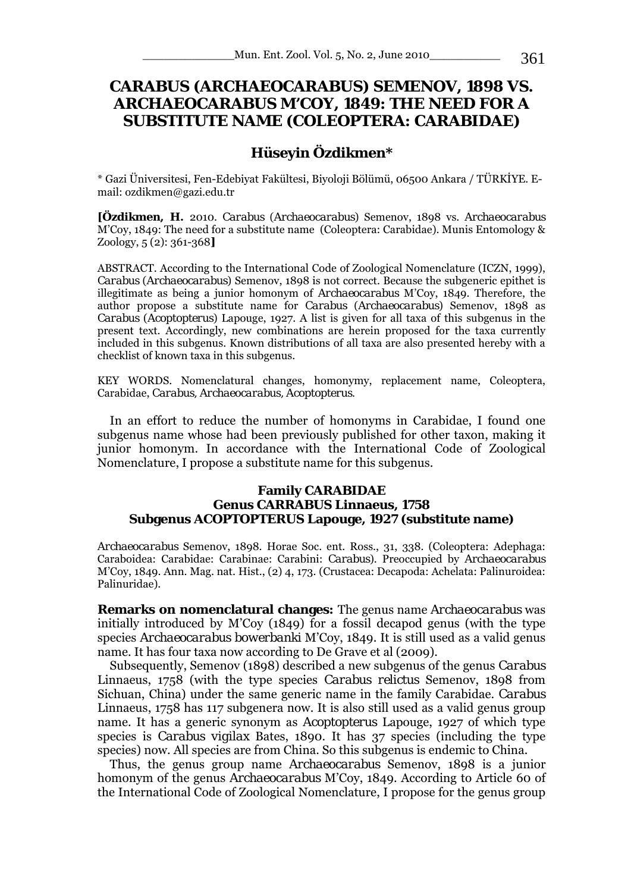# *CARABUS* **(***ARCHAEOCARABUS***) SEMENOV, 1898 VS.**  *ARCHAEOCARABUS* **M'COY, 1849: THE NEED FOR A SUBSTITUTE NAME (COLEOPTERA: CARABIDAE)**

## **Hüseyin Özdikmen\***

\* Gazi Üniversitesi, Fen-Edebiyat Fakültesi, Biyoloji Bölümü, 06500 Ankara / TÜRKİYE. Email: ozdikmen@gazi.edu.tr

**[Özdikmen, H.** 2010. *Carabus* (*Archaeocarabus*) Semenov, 1898 vs. *Archaeocarabus* M'Coy, 1849: The need for a substitute name (Coleoptera: Carabidae). Munis Entomology & Zoology, 5 (2): 361-368**]** 

ABSTRACT. According to the International Code of Zoological Nomenclature (ICZN, 1999), *Carabus* (*Archaeocarabus*) Semenov, 1898 is not correct. Because the subgeneric epithet is illegitimate as being a junior homonym of *Archaeocarabus* M'Coy, 1849. Therefore, the author propose a substitute name for *Carabus* (*Archaeocarabus*) Semenov, 1898 as *Carabus* (*Acoptopterus*) Lapouge, 1927. A list is given for all taxa of this subgenus in the present text. Accordingly, new combinations are herein proposed for the taxa currently included in this subgenus. Known distributions of all taxa are also presented hereby with a checklist of known taxa in this subgenus.

KEY WORDS. Nomenclatural changes, homonymy, replacement name, Coleoptera, Carabidae, *Carabus, Archaeocarabus, Acoptopterus*.

 In an effort to reduce the number of homonyms in Carabidae, I found one subgenus name whose had been previously published for other taxon, making it junior homonym. In accordance with the International Code of Zoological Nomenclature, I propose a substitute name for this subgenus.

#### **Family CARABIDAE Genus** *CARRABUS* **Linnaeus, 1758 Subgenus** *ACOPTOPTERUS* **Lapouge, 1927 (substitute name)**

*Archaeocarabus* Semenov, 1898. Horae Soc. ent. Ross., 31, 338. (Coleoptera: Adephaga: Caraboidea: Carabidae: Carabinae: Carabini: *Carabus*). Preoccupied by *Archaeocarabus*  M'Coy, 1849. Ann. Mag. nat. Hist., (2) 4, 173. (Crustacea: Decapoda: Achelata: Palinuroidea: Palinuridae).

**Remarks on nomenclatural changes:** The genus name *Archaeocarabus* was initially introduced by M'Coy (1849) for a fossil decapod genus (with the type species *Archaeocarabus bowerbanki* M'Coy, 1849. It is still used as a valid genus name. It has four taxa now according to De Grave et al (2009).

 Subsequently, Semenov (1898) described a new subgenus of the genus *Carabus*  Linnaeus, 1758 (with the type species *Carabus relictus* Semenov, 1898 from Sichuan, China) under the same generic name in the family Carabidae. *Carabus*  Linnaeus, 1758 has 117 subgenera now. It is also still used as a valid genus group name. It has a generic synonym as *Acoptopterus* Lapouge, 1927 of which type species is *Carabus vigilax* Bates, 1890. It has 37 species (including the type species) now. All species are from China. So this subgenus is endemic to China.

 Thus, the genus group name *Archaeocarabus* Semenov, 1898 is a junior homonym of the genus *Archaeocarabus* M'Coy, 1849. According to Article 60 of the International Code of Zoological Nomenclature, I propose for the genus group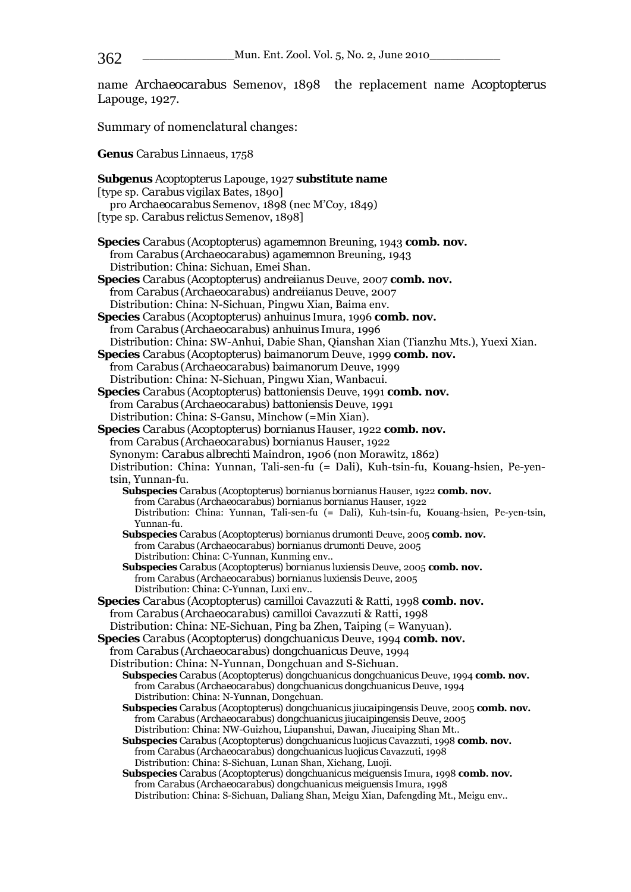name *Archaeocarabus* Semenov, 1898 the replacement name *Acoptopterus*  Lapouge, 1927.

Summary of nomenclatural changes:

**Genus** *Carabus* Linnaeus, 1758

**Subgenus** *Acoptopterus* Lapouge, 1927 **substitute name**  [type sp. *Carabus vigilax* Bates, 1890] pro *Archaeocarabus* Semenov, 1898 (nec M'Coy, 1849) [type sp. *Carabus relictus* Semenov, 1898] **Species** *Carabus* (*Acoptopterus*) *agamemnon* Breuning, 1943 **comb. nov.**  from *Carabus* (*Archaeocarabus*) *agamemnon* Breuning, 1943 Distribution: China: Sichuan, Emei Shan. **Species** *Carabus* (*Acoptopterus*) *andreiianus* Deuve, 2007 **comb. nov.**  from *Carabus* (*Archaeocarabus*) *andreiianus* Deuve, 2007 Distribution: China: N-Sichuan, Pingwu Xian, Baima env. **Species** *Carabus* (*Acoptopterus*) *anhuinus* Imura, 1996 **comb. nov.**  from *Carabus* (*Archaeocarabus*) *anhuinus* Imura, 1996 Distribution: China: SW-Anhui, Dabie Shan, Qianshan Xian (Tianzhu Mts.), Yuexi Xian. **Species** *Carabus* (*Acoptopterus*) *baimanorum* Deuve, 1999 **comb. nov.**  from *Carabus* (*Archaeocarabus*) *baimanorum* Deuve, 1999 Distribution: China: N-Sichuan, Pingwu Xian, Wanbacui. **Species** *Carabus* (*Acoptopterus*) *battoniensis* Deuve, 1991 **comb. nov.**  from *Carabus* (*Archaeocarabus*) *battoniensis* Deuve, 1991 Distribution: China: S-Gansu, Minchow (=Min Xian). **Species** *Carabus* (*Acoptopterus*) *bornianus* Hauser, 1922 **comb. nov.**  from *Carabus* (*Archaeocarabus*) *bornianus* Hauser, 1922 Synonym: *Carabus albrechti* Maindron, 1906 (non Morawitz, 1862) Distribution: China: Yunnan, Tali-sen-fu (= Dali), Kuh-tsin-fu, Kouang-hsien, Pe-yentsin, Yunnan-fu.  **Subspecies** *Carabus* (*Acoptopterus*) *bornianus bornianus* Hauser, 1922 **comb. nov.** from *Carabus* (*Archaeocarabus*) *bornianus bornianus* Hauser, 1922 Distribution: China: Yunnan, Tali-sen-fu (= Dali), Kuh-tsin-fu, Kouang-hsien, Pe-yen-tsin, Yunnan-fu. **Subspecies** *Carabus* (*Acoptopterus*) *bornianus drumonti* Deuve, 2005 **comb. nov.**  from *Carabus* (*Archaeocarabus*) *bornianus drumonti* Deuve, 2005 Distribution: China: C-Yunnan, Kunming env..  **Subspecies** *Carabus* (*Acoptopterus*) *bornianus luxiensis* Deuve, 2005 **comb. nov.**  from *Carabus* (*Archaeocarabus*) *bornianus luxiensis* Deuve, 2005 Distribution: China: C-Yunnan, Luxi env.. **Species** *Carabus* (*Acoptopterus*) *camilloi* Cavazzuti & Ratti, 1998 **comb. nov.**  from *Carabus* (*Archaeocarabus*) *camilloi* Cavazzuti & Ratti, 1998 Distribution: China: NE-Sichuan, Ping ba Zhen, Taiping (= Wanyuan). **Species** *Carabus* (*Acoptopterus*) *dongchuanicus* Deuve, 1994 **comb. nov.**  from *Carabus* (*Archaeocarabus*) *dongchuanicus* Deuve, 1994 Distribution: China: N-Yunnan, Dongchuan and S-Sichuan. **Subspecies** *Carabus* (*Acoptopterus*) *dongchuanicus dongchuanicus* Deuve, 1994 **comb. nov.** from *Carabus* (*Archaeocarabus*) *dongchuanicus dongchuanicus* Deuve, 1994 Distribution: China: N-Yunnan, Dongchuan. **Subspecies** *Carabus* (*Acoptopterus*) *dongchuanicus jiucaipingensis* Deuve, 2005 **comb. nov.**  from *Carabus* (*Archaeocarabus*) *dongchuanicus jiucaipingensis* Deuve, 2005 Distribution: China: NW-Guizhou, Liupanshui, Dawan, Jiucaiping Shan Mt.. **Subspecies** *Carabus* (*Acoptopterus*) *dongchuanicus luojicus* Cavazzuti, 1998 **comb. nov.**  from *Carabus* (*Archaeocarabus*) *dongchuanicus luojicus* Cavazzuti, 1998 Distribution: China: S-Sichuan, Lunan Shan, Xichang, Luoji. **Subspecies** *Carabus* (*Acoptopterus*) *dongchuanicus meiguensis* Imura, 1998 **comb. nov.**  from *Carabus* (*Archaeocarabus*) *dongchuanicus meiguensis* Imura, 1998 Distribution: China: S-Sichuan, Daliang Shan, Meigu Xian, Dafengding Mt., Meigu env..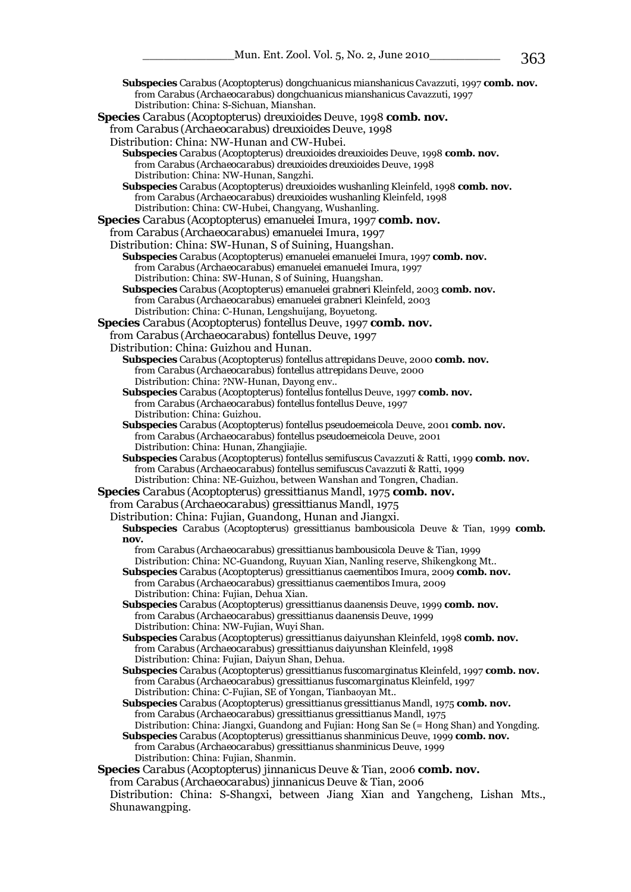**Subspecies** *Carabus* (*Acoptopterus*) *dongchuanicus mianshanicus* Cavazzuti, 1997 **comb. nov.**  from *Carabus* (*Archaeocarabus*) *dongchuanicus mianshanicus* Cavazzuti, 1997 Distribution: China: S-Sichuan, Mianshan. **Species** *Carabus* (*Acoptopterus*) *dreuxioides* Deuve, 1998 **comb. nov.**  from *Carabus* (*Archaeocarabus*) *dreuxioides* Deuve, 1998 Distribution: China: NW-Hunan and CW-Hubei. **Subspecies** *Carabus* (*Acoptopterus*) *dreuxioides dreuxioides* Deuve, 1998 **comb. nov.** from *Carabus* (*Archaeocarabus*) *dreuxioides dreuxioides* Deuve, 1998 Distribution: China: NW-Hunan, Sangzhi. **Subspecies** *Carabus* (*Acoptopterus*) *dreuxioides wushanling* Kleinfeld, 1998 **comb. nov.** from *Carabus* (*Archaeocarabus*) *dreuxioides wushanling* Kleinfeld, 1998 Distribution: China: CW-Hubei, Changyang, Wushanling. **Species** *Carabus* (*Acoptopterus*) *emanuelei* Imura, 1997 **comb. nov.**  from *Carabus* (*Archaeocarabus*) *emanuelei* Imura, 1997 Distribution: China: SW-Hunan, S of Suining, Huangshan. **Subspecies** *Carabus* (*Acoptopterus*) *emanuelei emanuelei* Imura, 1997 **comb. nov.** from *Carabus* (*Archaeocarabus*) *emanuelei emanuelei* Imura, 1997 Distribution: China: SW-Hunan, S of Suining, Huangshan. **Subspecies** *Carabus* (*Acoptopterus*) *emanuelei grabneri* Kleinfeld, 2003 **comb. nov.** from *Carabus* (*Archaeocarabus*) *emanuelei grabneri* Kleinfeld, 2003 Distribution: China: C-Hunan, Lengshuijang, Boyuetong. **Species** *Carabus* (*Acoptopterus*) *fontellus* Deuve, 1997 **comb. nov.**  from *Carabus* (*Archaeocarabus*) *fontellus* Deuve, 1997 Distribution: China: Guizhou and Hunan. **Subspecies** *Carabus* (*Acoptopterus*) *fontellus attrepidans* Deuve, 2000 **comb. nov.** from *Carabus* (*Archaeocarabus*) *fontellus attrepidans* Deuve, 2000 Distribution: China: ?NW-Hunan, Dayong env.. **Subspecies** *Carabus* (*Acoptopterus*) *fontellus fontellus* Deuve, 1997 **comb. nov.** from *Carabus* (*Archaeocarabus*) *fontellus fontellus* Deuve, 1997 Distribution: China: Guizhou. **Subspecies** *Carabus* (*Acoptopterus*) *fontellus pseudoemeicola* Deuve, 2001 **comb. nov.** from *Carabus* (*Archaeocarabus*) *fontellus pseudoemeicola* Deuve, 2001 Distribution: China: Hunan, Zhangjiajie. **Subspecies** *Carabus* (*Acoptopterus*) *fontellus semifuscus* Cavazzuti & Ratti, 1999 **comb. nov.** from *Carabus* (*Archaeocarabus*) *fontellus semifuscus* Cavazzuti & Ratti, 1999 Distribution: China: NE-Guizhou, between Wanshan and Tongren, Chadian. **Species** *Carabus* (*Acoptopterus*) *gressittianus* Mandl, 1975 **comb. nov.**  from *Carabus* (*Archaeocarabus*) *gressittianus* Mandl, 1975 Distribution: China: Fujian, Guandong, Hunan and Jiangxi. **Subspecies** *Carabus* (*Acoptopterus*) *gressittianus bambousicola* Deuve & Tian, 1999 **comb. nov.** from *Carabus* (*Archaeocarabus*) *gressittianus bambousicola* Deuve & Tian, 1999 Distribution: China: NC-Guandong, Ruyuan Xian, Nanling reserve, Shikengkong Mt.. **Subspecies** *Carabus* (*Acoptopterus*) *gressittianus caementibos* Imura, 2009 **comb. nov.** from *Carabus* (*Archaeocarabus*) *gressittianus caementibos* Imura, 2009 Distribution: China: Fujian, Dehua Xian. **Subspecies** *Carabus* (*Acoptopterus*) *gressittianus daanensis* Deuve, 1999 **comb. nov.** from *Carabus* (*Archaeocarabus*) *gressittianus daanensis* Deuve, 1999 Distribution: China: NW-Fujian, Wuyi Shan. **Subspecies** *Carabus* (*Acoptopterus*) *gressittianus daiyunshan* Kleinfeld, 1998 **comb. nov.** from *Carabus* (*Archaeocarabus*) *gressittianus daiyunshan* Kleinfeld, 1998 Distribution: China: Fujian, Daiyun Shan, Dehua. **Subspecies** *Carabus* (*Acoptopterus*) *gressittianus fuscomarginatus* Kleinfeld, 1997 **comb. nov.** from *Carabus* (*Archaeocarabus*) *gressittianus fuscomarginatus* Kleinfeld, 1997 Distribution: China: C-Fujian, SE of Yongan, Tianbaoyan Mt.. **Subspecies** *Carabus* (*Acoptopterus*) *gressittianus gressittianus* Mandl, 1975 **comb. nov.** from *Carabus* (*Archaeocarabus*) *gressittianus gressittianus* Mandl, 1975 Distribution: China: Jiangxi, Guandong and Fujian: Hong San Se (= Hong Shan) and Yongding. **Subspecies** *Carabus* (*Acoptopterus*) *gressittianus shanminicus* Deuve, 1999 **comb. nov.** from *Carabus* (*Archaeocarabus*) *gressittianus shanminicus* Deuve, 1999 Distribution: China: Fujian, Shanmin. **Species** *Carabus* (*Acoptopterus*) *jinnanicus* Deuve & Tian, 2006 **comb. nov.**  from *Carabus* (*Archaeocarabus*) *jinnanicus* Deuve & Tian, 2006 Distribution: China: S-Shangxi, between Jiang Xian and Yangcheng, Lishan Mts.,

Shunawangping.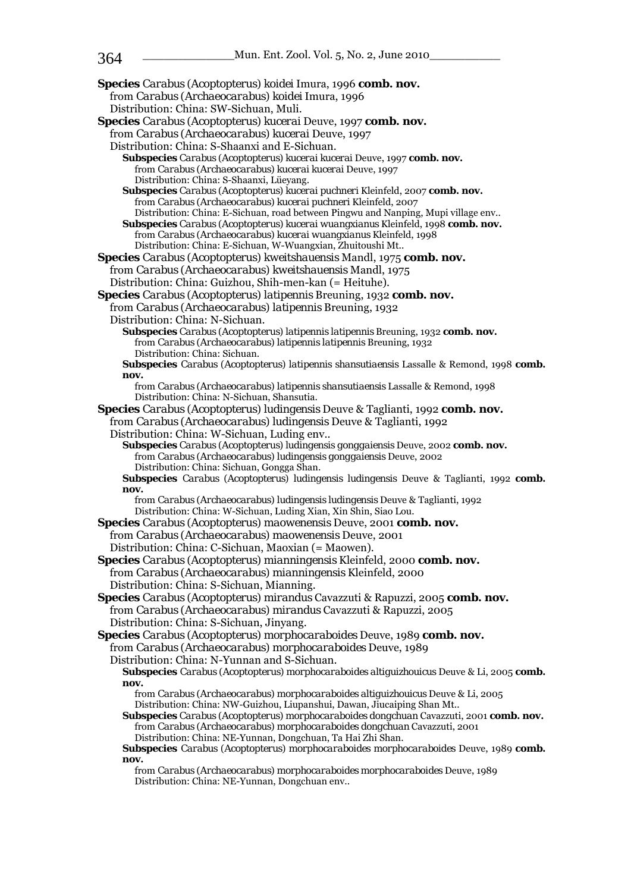**Species** *Carabus* (*Acoptopterus*) *koidei* Imura, 1996 **comb. nov.**  from *Carabus* (*Archaeocarabus*) *koidei* Imura, 1996 Distribution: China: SW-Sichuan, Muli. **Species** *Carabus* (*Acoptopterus*) *kucerai* Deuve, 1997 **comb. nov.**  from *Carabus* (*Archaeocarabus*) *kucerai* Deuve, 1997 Distribution: China: S-Shaanxi and E-Sichuan. **Subspecies** *Carabus* (*Acoptopterus*) *kucerai kucerai* Deuve, 1997 **comb. nov.** from *Carabus* (*Archaeocarabus*) *kucerai kucerai* Deuve, 1997 Distribution: China: S-Shaanxi, Lüeyang. **Subspecies** *Carabus* (*Acoptopterus*) *kucerai puchneri* Kleinfeld, 2007 **comb. nov.** from *Carabus* (*Archaeocarabus*) *kucerai puchneri* Kleinfeld, 2007 Distribution: China: E-Sichuan, road between Pingwu and Nanping, Mupi village env.. **Subspecies** *Carabus* (*Acoptopterus*) *kucerai wuangxianus* Kleinfeld, 1998 **comb. nov.** from *Carabus* (*Archaeocarabus*) *kucerai wuangxianus* Kleinfeld, 1998 Distribution: China: E-Sichuan, W-Wuangxian, Zhuitoushi Mt.. **Species** *Carabus* (*Acoptopterus*) *kweitshauensis* Mandl, 1975 **comb. nov.**  from *Carabus* (*Archaeocarabus*) *kweitshauensis* Mandl, 1975 Distribution: China: Guizhou, Shih-men-kan (= Heituhe). **Species** *Carabus* (*Acoptopterus*) *latipennis* Breuning, 1932 **comb. nov.**  from *Carabus* (*Archaeocarabus*) *latipennis* Breuning, 1932 Distribution: China: N-Sichuan. **Subspecies** *Carabus* (*Acoptopterus*) *latipennis latipennis* Breuning, 1932 **comb. nov.** from *Carabus* (*Archaeocarabus*) *latipennis latipennis* Breuning, 1932 Distribution: China: Sichuan. **Subspecies** *Carabus* (*Acoptopterus*) *latipennis shansutiaensis* Lassalle & Remond, 1998 **comb. nov.** from *Carabus* (*Archaeocarabus*) *latipennis shansutiaensis* Lassalle & Remond, 1998 Distribution: China: N-Sichuan, Shansutia. **Species** *Carabus* (*Acoptopterus*) *ludingensis* Deuve & Taglianti, 1992 **comb. nov.**  from *Carabus* (*Archaeocarabus*) *ludingensis* Deuve & Taglianti, 1992 Distribution: China: W-Sichuan, Luding env.. **Subspecies** *Carabus* (*Acoptopterus*) *ludingensis gonggaiensis* Deuve, 2002 **comb. nov.** from *Carabus* (*Archaeocarabus*) *ludingensis gonggaiensis* Deuve, 2002 Distribution: China: Sichuan, Gongga Shan. **Subspecies** *Carabus* (*Acoptopterus*) *ludingensis ludingensis* Deuve & Taglianti, 1992 **comb. nov.** from *Carabus* (*Archaeocarabus*) *ludingensis ludingensis* Deuve & Taglianti, 1992 Distribution: China: W-Sichuan, Luding Xian, Xin Shin, Siao Lou. **Species** *Carabus* (*Acoptopterus*) *maowenensis* Deuve, 2001 **comb. nov.**  from *Carabus* (*Archaeocarabus*) *maowenensis* Deuve, 2001 Distribution: China: C-Sichuan, Maoxian (= Maowen). **Species** *Carabus* (*Acoptopterus*) *mianningensis* Kleinfeld, 2000 **comb. nov.**  from *Carabus* (*Archaeocarabus*) *mianningensis* Kleinfeld, 2000 Distribution: China: S-Sichuan, Mianning. **Species** *Carabus* (*Acoptopterus*) *mirandus* Cavazzuti & Rapuzzi, 2005 **comb. nov.**  from *Carabus* (*Archaeocarabus*) *mirandus* Cavazzuti & Rapuzzi, 2005 Distribution: China: S-Sichuan, Jinyang. **Species** *Carabus* (*Acoptopterus*) *morphocaraboides* Deuve, 1989 **comb. nov.**  from *Carabus* (*Archaeocarabus*) *morphocaraboides* Deuve, 1989 Distribution: China: N-Yunnan and S-Sichuan. **Subspecies** *Carabus* (*Acoptopterus*) *morphocaraboides altiguizhouicus* Deuve & Li, 2005 **comb. nov.** from *Carabus* (*Archaeocarabus*) *morphocaraboides altiguizhouicus* Deuve & Li, 2005 Distribution: China: NW-Guizhou, Liupanshui, Dawan, Jiucaiping Shan Mt.. **Subspecies** *Carabus* (*Acoptopterus*) *morphocaraboides dongchuan* Cavazzuti, 2001 **comb. nov.** from *Carabus* (*Archaeocarabus*) *morphocaraboides dongchuan* Cavazzuti, 2001 Distribution: China: NE-Yunnan, Dongchuan, Ta Hai Zhi Shan. **Subspecies** *Carabus* (*Acoptopterus*) *morphocaraboides morphocaraboides* Deuve, 1989 **comb. nov.** from *Carabus* (*Archaeocarabus*) *morphocaraboides morphocaraboides* Deuve, 1989 Distribution: China: NE-Yunnan, Dongchuan env..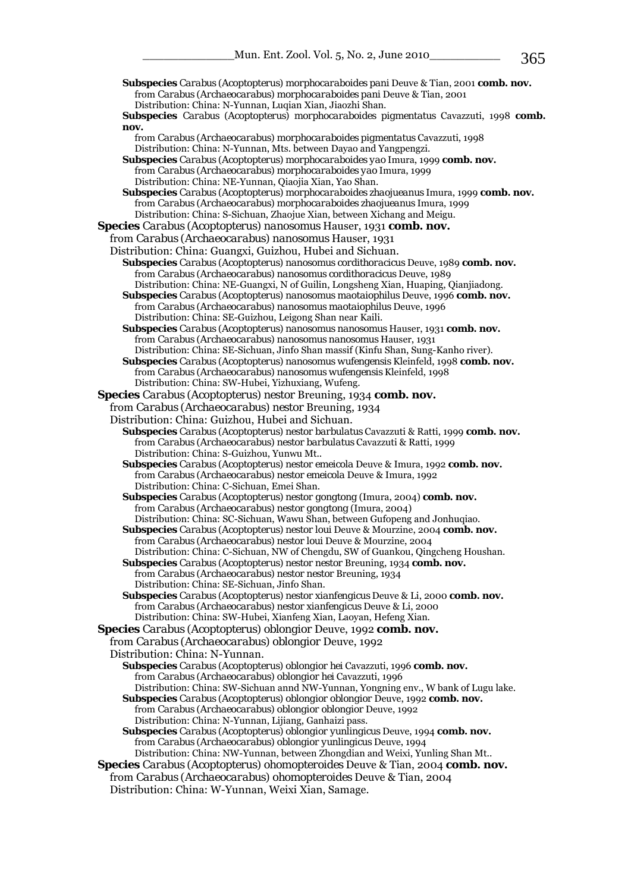**Subspecies** *Carabus* (*Acoptopterus*) *morphocaraboides pani* Deuve & Tian, 2001 **comb. nov.** 

from *Carabus* (*Archaeocarabus*) *morphocaraboides pani* Deuve & Tian, 2001

 Distribution: China: N-Yunnan, Luqian Xian, Jiaozhi Shan. **Subspecies** *Carabus* (*Acoptopterus*) *morphocaraboides pigmentatus* Cavazzuti, 1998 **comb. nov.** from *Carabus* (*Archaeocarabus*) *morphocaraboides pigmentatus* Cavazzuti, 1998 Distribution: China: N-Yunnan, Mts. between Dayao and Yangpengzi. **Subspecies** *Carabus* (*Acoptopterus*) *morphocaraboides yao* Imura, 1999 **comb. nov.** from *Carabus* (*Archaeocarabus*) *morphocaraboides yao* Imura, 1999 Distribution: China: NE-Yunnan, Qiaojia Xian, Yao Shan. **Subspecies** *Carabus* (*Acoptopterus*) *morphocaraboides zhaojueanus* Imura, 1999 **comb. nov.** from *Carabus* (*Archaeocarabus*) *morphocaraboides zhaojueanus* Imura, 1999 Distribution: China: S-Sichuan, Zhaojue Xian, between Xichang and Meigu. **Species** *Carabus* (*Acoptopterus*) *nanosomus* Hauser, 1931 **comb. nov.**  from *Carabus* (*Archaeocarabus*) *nanosomus* Hauser, 1931 Distribution: China: Guangxi, Guizhou, Hubei and Sichuan. **Subspecies** *Carabus* (*Acoptopterus*) *nanosomus cordithoracicus* Deuve, 1989 **comb. nov.** from *Carabus* (*Archaeocarabus*) *nanosomus cordithoracicus* Deuve, 1989 Distribution: China: NE-Guangxi, N of Guilin, Longsheng Xian, Huaping, Qianjiadong. **Subspecies** *Carabus* (*Acoptopterus*) *nanosomus maotaiophilus* Deuve, 1996 **comb. nov.** from *Carabus* (*Archaeocarabus*) *nanosomus maotaiophilus* Deuve, 1996 Distribution: China: SE-Guizhou, Leigong Shan near Kaili. **Subspecies** *Carabus* (*Acoptopterus*) *nanosomus nanosomus* Hauser, 1931 **comb. nov.** from *Carabus* (*Archaeocarabus*) *nanosomus nanosomus* Hauser, 1931 Distribution: China: SE-Sichuan, Jinfo Shan massif (Kinfu Shan, Sung-Kanho river). **Subspecies** *Carabus* (*Acoptopterus*) *nanosomus wufengensis* Kleinfeld, 1998 **comb. nov.** from *Carabus* (*Archaeocarabus*) *nanosomus wufengensis* Kleinfeld, 1998 Distribution: China: SW-Hubei, Yizhuxiang, Wufeng. **Species** *Carabus* (*Acoptopterus*) *nestor* Breuning, 1934 **comb. nov.**  from *Carabus* (*Archaeocarabus*) *nestor* Breuning, 1934 Distribution: China: Guizhou, Hubei and Sichuan. **Subspecies** *Carabus* (*Acoptopterus*) *nestor barbulatus* Cavazzuti & Ratti, 1999 **comb. nov.** from *Carabus* (*Archaeocarabus*) *nestor barbulatus* Cavazzuti & Ratti, 1999 Distribution: China: S-Guizhou, Yunwu Mt.. **Subspecies** *Carabus* (*Acoptopterus*) *nestor emeicola* Deuve & Imura, 1992 **comb. nov.** from *Carabus* (*Archaeocarabus*) *nestor emeicola* Deuve & Imura, 1992 Distribution: China: C-Sichuan, Emei Shan. **Subspecies** *Carabus* (*Acoptopterus*) *nestor gongtong* (Imura, 2004) **comb. nov.** from *Carabus* (*Archaeocarabus*) *nestor gongtong* (Imura, 2004) Distribution: China: SC-Sichuan, Wawu Shan, between Gufopeng and Jonhuqiao. **Subspecies** *Carabus* (*Acoptopterus*) *nestor loui* Deuve & Mourzine, 2004 **comb. nov.** from *Carabus* (*Archaeocarabus*) *nestor loui* Deuve & Mourzine, 2004 Distribution: China: C-Sichuan, NW of Chengdu, SW of Guankou, Qingcheng Houshan. **Subspecies** *Carabus* (*Acoptopterus*) *nestor nestor* Breuning, 1934 **comb. nov.** from *Carabus* (*Archaeocarabus*) *nestor nestor* Breuning, 1934 Distribution: China: SE-Sichuan, Jinfo Shan. **Subspecies** *Carabus* (*Acoptopterus*) *nestor xianfengicus* Deuve & Li, 2000 **comb. nov.** from *Carabus* (*Archaeocarabus*) *nestor xianfengicus* Deuve & Li, 2000 Distribution: China: SW-Hubei, Xianfeng Xian, Laoyan, Hefeng Xian. **Species** *Carabus* (*Acoptopterus*) *oblongior* Deuve, 1992 **comb. nov.**  from *Carabus* (*Archaeocarabus*) *oblongior* Deuve, 1992 Distribution: China: N-Yunnan. **Subspecies** *Carabus* (*Acoptopterus*) *oblongior hei* Cavazzuti, 1996 **comb. nov.** from *Carabus* (*Archaeocarabus*) *oblongior hei* Cavazzuti, 1996 Distribution: China: SW-Sichuan annd NW-Yunnan, Yongning env., W bank of Lugu lake. **Subspecies** *Carabus* (*Acoptopterus*) *oblongior oblongior* Deuve, 1992 **comb. nov.** from *Carabus* (*Archaeocarabus*) *oblongior oblongior* Deuve, 1992 Distribution: China: N-Yunnan, Lijiang, Ganhaizi pass. **Subspecies** *Carabus* (*Acoptopterus*) *oblongior yunlingicus* Deuve, 1994 **comb. nov.** from *Carabus* (*Archaeocarabus*) *oblongior yunlingicus* Deuve, 1994 Distribution: China: NW-Yunnan, between Zhongdian and Weixi, Yunling Shan Mt.. **Species** *Carabus* (*Acoptopterus*) *ohomopteroides* Deuve & Tian, 2004 **comb. nov.**  from *Carabus* (*Archaeocarabus*) *ohomopteroides* Deuve & Tian, 2004 Distribution: China: W-Yunnan, Weixi Xian, Samage.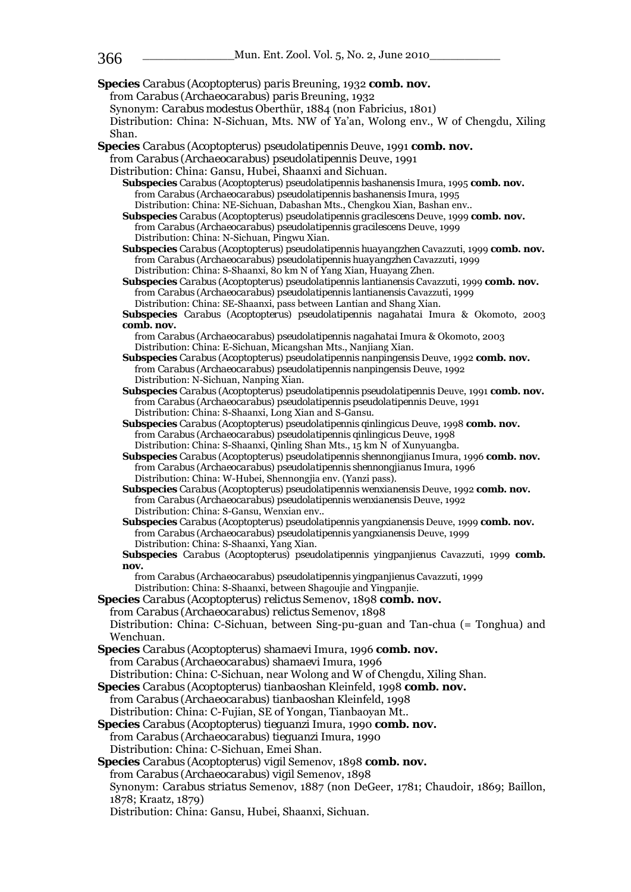**Species** *Carabus* (*Acoptopterus*) *paris* Breuning, 1932 **comb. nov.**  from *Carabus* (*Archaeocarabus*) *paris* Breuning, 1932 Synonym: *Carabus modestus* Oberthür, 1884 (non Fabricius, 1801) Distribution: China: N-Sichuan, Mts. NW of Ya'an, Wolong env., W of Chengdu, Xiling Shan. **Species** *Carabus* (*Acoptopterus*) *pseudolatipennis* Deuve, 1991 **comb. nov.**  from *Carabus* (*Archaeocarabus*) *pseudolatipennis* Deuve, 1991 Distribution: China: Gansu, Hubei, Shaanxi and Sichuan. **Subspecies** *Carabus* (*Acoptopterus*) *pseudolatipennis bashanensis* Imura, 1995 **comb. nov.** from *Carabus* (*Archaeocarabus*) *pseudolatipennis bashanensis* Imura, 1995 Distribution: China: NE-Sichuan, Dabashan Mts., Chengkou Xian, Bashan env.. **Subspecies** *Carabus* (*Acoptopterus*) *pseudolatipennis gracilescens* Deuve, 1999 **comb. nov.** from *Carabus* (*Archaeocarabus*) *pseudolatipennis gracilescens* Deuve, 1999 Distribution: China: N-Sichuan, Pingwu Xian. **Subspecies** *Carabus* (*Acoptopterus*) *pseudolatipennis huayangzhen* Cavazzuti, 1999 **comb. nov.** from *Carabus* (*Archaeocarabus*) *pseudolatipennis huayangzhen* Cavazzuti, 1999 Distribution: China: S-Shaanxi, 80 km N of Yang Xian, Huayang Zhen. **Subspecies** *Carabus* (*Acoptopterus*) *pseudolatipennis lantianensis* Cavazzuti, 1999 **comb. nov.** from *Carabus* (*Archaeocarabus*) *pseudolatipennis lantianensis* Cavazzuti, 1999 Distribution: China: SE-Shaanxi, pass between Lantian and Shang Xian. **Subspecies** *Carabus* (*Acoptopterus*) *pseudolatipennis nagahatai* Imura & Okomoto, 2003 **comb. nov.** from *Carabus* (*Archaeocarabus*) *pseudolatipennis nagahatai* Imura & Okomoto, 2003 Distribution: China: E-Sichuan, Micangshan Mts., Nanjiang Xian. **Subspecies** *Carabus* (*Acoptopterus*) *pseudolatipennis nanpingensis* Deuve, 1992 **comb. nov.** from *Carabus* (*Archaeocarabus*) *pseudolatipennis nanpingensis* Deuve, 1992 Distribution: N-Sichuan, Nanping Xian. **Subspecies** *Carabus* (*Acoptopterus*) *pseudolatipennis pseudolatipennis* Deuve, 1991 **comb. nov.** from *Carabus* (*Archaeocarabus*) *pseudolatipennis pseudolatipennis* Deuve, 1991 Distribution: China: S-Shaanxi, Long Xian and S-Gansu. **Subspecies** *Carabus* (*Acoptopterus*) *pseudolatipennis qinlingicus* Deuve, 1998 **comb. nov.** from *Carabus* (*Archaeocarabus*) *pseudolatipennis qinlingicus* Deuve, 1998 Distribution: China: S-Shaanxi, Qinling Shan Mts., 15 km N of Xunyuangba. **Subspecies** *Carabus* (*Acoptopterus*) *pseudolatipennis shennongjianus* Imura, 1996 **comb. nov.** from *Carabus* (*Archaeocarabus*) *pseudolatipennis shennongjianus* Imura, 1996 Distribution: China: W-Hubei, Shennongjia env. (Yanzi pass). **Subspecies** *Carabus* (*Acoptopterus*) *pseudolatipennis wenxianensis* Deuve, 1992 **comb. nov.** from *Carabus* (*Archaeocarabus*) *pseudolatipennis wenxianensis* Deuve, 1992 Distribution: China: S-Gansu, Wenxian env.. **Subspecies** *Carabus* (*Acoptopterus*) *pseudolatipennis yangxianensis* Deuve, 1999 **comb. nov.** from *Carabus* (*Archaeocarabus*) *pseudolatipennis yangxianensis* Deuve, 1999 Distribution: China: S-Shaanxi, Yang Xian. **Subspecies** *Carabus* (*Acoptopterus*) *pseudolatipennis yingpanjienus* Cavazzuti, 1999 **comb. nov.** from *Carabus* (*Archaeocarabus*) *pseudolatipennis yingpanjienus* Cavazzuti, 1999 Distribution: China: S-Shaanxi, between Shagoujie and Yingpanjie. **Species** *Carabus* (*Acoptopterus*) *relictus* Semenov, 1898 **comb. nov.**  from *Carabus* (*Archaeocarabus*) *relictus* Semenov, 1898 Distribution: China: C-Sichuan, between Sing-pu-guan and Tan-chua (= Tonghua) and Wenchuan. **Species** *Carabus* (*Acoptopterus*) *shamaevi* Imura, 1996 **comb. nov.**  from *Carabus* (*Archaeocarabus*) *shamaevi* Imura, 1996 Distribution: China: C-Sichuan, near Wolong and W of Chengdu, Xiling Shan. **Species** *Carabus* (*Acoptopterus*) *tianbaoshan* Kleinfeld, 1998 **comb. nov.**  from *Carabus* (*Archaeocarabus*) *tianbaoshan* Kleinfeld, 1998 Distribution: China: C-Fujian, SE of Yongan, Tianbaoyan Mt.. **Species** *Carabus* (*Acoptopterus*) *tieguanzi* Imura, 1990 **comb. nov.**  from *Carabus* (*Archaeocarabus*) *tieguanzi* Imura, 1990 Distribution: China: C-Sichuan, Emei Shan. **Species** *Carabus* (*Acoptopterus*) *vigil* Semenov, 1898 **comb. nov.**  from *Carabus* (*Archaeocarabus*) *vigil* Semenov, 1898 Synonym: *Carabus striatus* Semenov, 1887 (non DeGeer, 1781; Chaudoir, 1869; Baillon, 1878; Kraatz, 1879) Distribution: China: Gansu, Hubei, Shaanxi, Sichuan.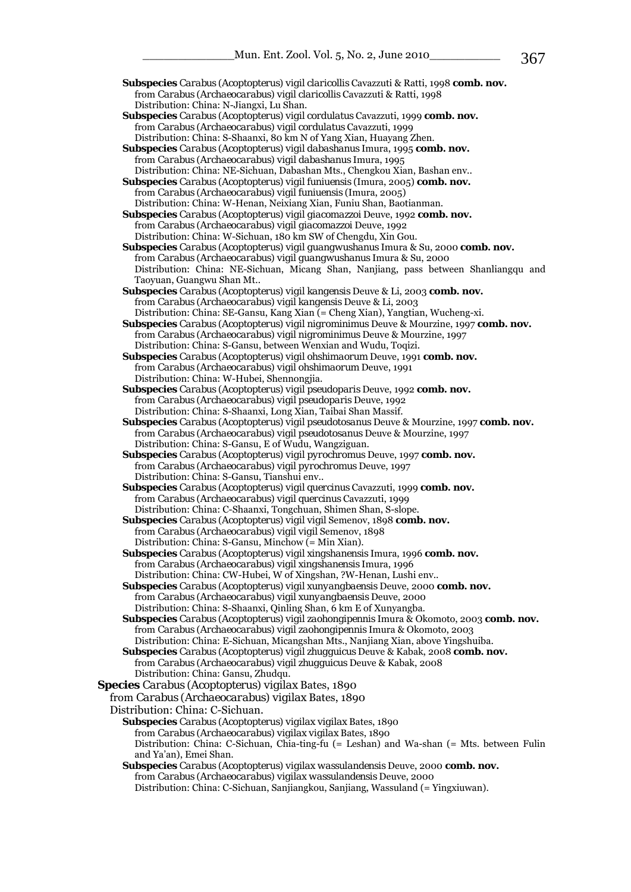**Subspecies** *Carabus* (*Acoptopterus*) *vigil cordulatus* Cavazzuti, 1999 **comb. nov.** from *Carabus* (*Archaeocarabus*) *vigil cordulatus* Cavazzuti, 1999 Distribution: China: S-Shaanxi, 80 km N of Yang Xian, Huayang Zhen.

 **Subspecies** *Carabus* (*Acoptopterus*) *vigil dabashanus* Imura, 1995 **comb. nov.** from *Carabus* (*Archaeocarabus*) *vigil dabashanus* Imura, 1995 Distribution: China: NE-Sichuan, Dabashan Mts., Chengkou Xian, Bashan env..

 **Subspecies** *Carabus* (*Acoptopterus*) *vigil funiuensis* (Imura, 2005) **comb. nov.** from *Carabus* (*Archaeocarabus*) *vigil funiuensis* (Imura, 2005) Distribution: China: W-Henan, Neixiang Xian, Funiu Shan, Baotianman.

 **Subspecies** *Carabus* (*Acoptopterus*) *vigil giacomazzoi* Deuve, 1992 **comb. nov.** from *Carabus* (*Archaeocarabus*) *vigil giacomazzoi* Deuve, 1992 Distribution: China: W-Sichuan, 180 km SW of Chengdu, Xin Gou.

 **Subspecies** *Carabus* (*Acoptopterus*) *vigil guangwushanus* Imura & Su, 2000 **comb. nov.** from *Carabus* (*Archaeocarabus*) *vigil guangwushanus* Imura & Su, 2000 Distribution: China: NE-Sichuan, Micang Shan, Nanjiang, pass between Shanliangqu and Taoyuan, Guangwu Shan Mt..

 **Subspecies** *Carabus* (*Acoptopterus*) *vigil kangensis* Deuve & Li, 2003 **comb. nov.** from *Carabus* (*Archaeocarabus*) *vigil kangensis* Deuve & Li, 2003 Distribution: China: SE-Gansu, Kang Xian (= Cheng Xian), Yangtian, Wucheng-xi.

 **Subspecies** *Carabus* (*Acoptopterus*) *vigil nigrominimus* Deuve & Mourzine, 1997 **comb. nov.** from *Carabus* (*Archaeocarabus*) *vigil nigrominimus* Deuve & Mourzine, 1997 Distribution: China: S-Gansu, between Wenxian and Wudu, Toqizi.

 **Subspecies** *Carabus* (*Acoptopterus*) *vigil ohshimaorum* Deuve, 1991 **comb. nov.** from *Carabus* (*Archaeocarabus*) *vigil ohshimaorum* Deuve, 1991 Distribution: China: W-Hubei, Shennongjia.

 **Subspecies** *Carabus* (*Acoptopterus*) *vigil pseudoparis* Deuve, 1992 **comb. nov.** from *Carabus* (*Archaeocarabus*) *vigil pseudoparis* Deuve, 1992 Distribution: China: S-Shaanxi, Long Xian, Taibai Shan Massif.

 **Subspecies** *Carabus* (*Acoptopterus*) *vigil pseudotosanus* Deuve & Mourzine, 1997 **comb. nov.** from *Carabus* (*Archaeocarabus*) *vigil pseudotosanus* Deuve & Mourzine, 1997 Distribution: China: S-Gansu, E of Wudu, Wangziguan.

 **Subspecies** *Carabus* (*Acoptopterus*) *vigil pyrochromus* Deuve, 1997 **comb. nov.** from *Carabus* (*Archaeocarabus*) *vigil pyrochromus* Deuve, 1997 Distribution: China: S-Gansu, Tianshui env..

 **Subspecies** *Carabus* (*Acoptopterus*) *vigil quercinus* Cavazzuti, 1999 **comb. nov.** from *Carabus* (*Archaeocarabus*) *vigil quercinus* Cavazzuti, 1999 Distribution: China: C-Shaanxi, Tongchuan, Shimen Shan, S-slope.

**Subspecies** *Carabus* (*Acoptopterus*) *vigil vigil* Semenov, 1898 **comb. nov.** from *Carabus* (*Archaeocarabus*) *vigil vigil* Semenov, 1898 Distribution: China: S-Gansu, Minchow (= Min Xian).

 **Subspecies** *Carabus* (*Acoptopterus*) *vigil xingshanensis* Imura, 1996 **comb. nov.** from *Carabus* (*Archaeocarabus*) *vigil xingshanensis* Imura, 1996 Distribution: China: CW-Hubei, W of Xingshan, ?W-Henan, Lushi env..

 **Subspecies** *Carabus* (*Acoptopterus*) *vigil xunyangbaensis* Deuve, 2000 **comb. nov.** from *Carabus* (*Archaeocarabus*) *vigil xunyangbaensis* Deuve, 2000 Distribution: China: S-Shaanxi, Qinling Shan, 6 km E of Xunyangba.

 **Subspecies** *Carabus* (*Acoptopterus*) *vigil zaohongipennis* Imura & Okomoto, 2003 **comb. nov.** from *Carabus* (*Archaeocarabus*) *vigil zaohongipennis* Imura & Okomoto, 2003 Distribution: China: E-Sichuan, Micangshan Mts., Nanjiang Xian, above Yingshuiba.

 **Subspecies** *Carabus* (*Acoptopterus*) *vigil zhugguicus* Deuve & Kabak, 2008 **comb. nov.** from *Carabus* (*Archaeocarabus*) *vigil zhugguicus* Deuve & Kabak, 2008 Distribution: China: Gansu, Zhudqu.

**Species** *Carabus* (*Acoptopterus*) *vigilax* Bates, 1890

from *Carabus* (*Archaeocarabus*) *vigilax* Bates, 1890

Distribution: China: C-Sichuan.

 **Subspecies** *Carabus* (*Acoptopterus*) *vigilax vigilax* Bates, 1890 from *Carabus* (*Archaeocarabus*) *vigilax vigilax* Bates, 1890 Distribution: China: C-Sichuan, Chia-ting-fu (= Leshan) and Wa-shan (= Mts. between Fulin and Ya'an), Emei Shan.

### **Subspecies** *Carabus* (*Acoptopterus*) *vigilax wassulandensis* Deuve, 2000 **comb. nov.** from *Carabus* (*Archaeocarabus*) *vigilax wassulandensis* Deuve, 2000

Distribution: China: C-Sichuan, Sanjiangkou, Sanjiang, Wassuland (= Yingxiuwan).